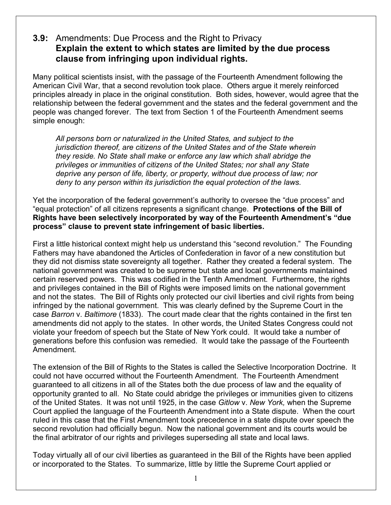## **3.9:** Amendments: Due Process and the Right to Privacy **Explain the extent to which states are limited by the due process clause from infringing upon individual rights.**

Many political scientists insist, with the passage of the Fourteenth Amendment following the American Civil War, that a second revolution took place. Others argue it merely reinforced principles already in place in the original constitution. Both sides, however, would agree that the relationship between the federal government and the states and the federal government and the people was changed forever. The text from Section 1 of the Fourteenth Amendment seems simple enough:

*All persons born or naturalized in the United States, and subject to the jurisdiction thereof, are citizens of the United States and of the State wherein they reside. No State shall make or enforce any law which shall abridge the privileges or immunities of citizens of the United States; nor shall any State deprive any person of life, liberty, or property, without due process of law; nor deny to any person within its jurisdiction the equal protection of the laws.*

Yet the incorporation of the federal government's authority to oversee the "due process" and "equal protection" of all citizens represents a significant change. **Protections of the Bill of Rights have been selectively incorporated by way of the Fourteenth Amendment's "due process" clause to prevent state infringement of basic liberties.**

First a little historical context might help us understand this "second revolution." The Founding Fathers may have abandoned the Articles of Confederation in favor of a new constitution but they did not dismiss state sovereignty all together. Rather they created a federal system. The national government was created to be supreme but state and local governments maintained certain reserved powers. This was codified in the Tenth Amendment. Furthermore, the rights and privileges contained in the Bill of Rights were imposed limits on the national government and not the states. The Bill of Rights only protected our civil liberties and civil rights from being infringed by the national government. This was clearly defined by the Supreme Court in the case *Barron* v. *Baltimore* (1833). The court made clear that the rights contained in the first ten amendments did not apply to the states. In other words, the United States Congress could not violate your freedom of speech but the State of New York could. It would take a number of generations before this confusion was remedied. It would take the passage of the Fourteenth Amendment.

The extension of the Bill of Rights to the States is called the Selective Incorporation Doctrine. It could not have occurred without the Fourteenth Amendment. The Fourteenth Amendment guaranteed to all citizens in all of the States both the due process of law and the equality of opportunity granted to all. No State could abridge the privileges or immunities given to citizens of the United States. It was not until 1925, in the case *Gitlow* v. *New York,* when the Supreme Court applied the language of the Fourteenth Amendment into a State dispute. When the court ruled in this case that the First Amendment took precedence in a state dispute over speech the second revolution had officially begun. Now the national government and its courts would be the final arbitrator of our rights and privileges superseding all state and local laws.

Today virtually all of our civil liberties as guaranteed in the Bill of the Rights have been applied or incorporated to the States. To summarize, little by little the Supreme Court applied or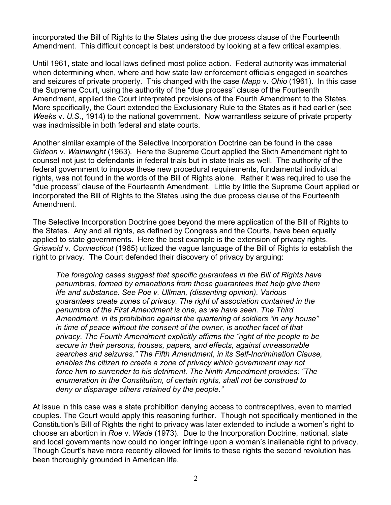incorporated the Bill of Rights to the States using the due process clause of the Fourteenth Amendment. This difficult concept is best understood by looking at a few critical examples.

Until 1961, state and local laws defined most police action. Federal authority was immaterial when determining when, where and how state law enforcement officials engaged in searches and seizures of private property. This changed with the case *Mapp* v. *Ohio* (1961). In this case the Supreme Court, using the authority of the "due process" clause of the Fourteenth Amendment, applied the Court interpreted provisions of the Fourth Amendment to the States. More specifically, the Court extended the Exclusionary Rule to the States as it had earlier (see *Weeks* v. *U.S*., 1914) to the national government. Now warrantless seizure of private property was inadmissible in both federal and state courts.

Another similar example of the Selective Incorporation Doctrine can be found in the case *Gideon* v. *Wainwright* (1963). Here the Supreme Court applied the Sixth Amendment right to counsel not just to defendants in federal trials but in state trials as well. The authority of the federal government to impose these new procedural requirements, fundamental individual rights, was not found in the words of the Bill of Rights alone. Rather it was required to use the "due process" clause of the Fourteenth Amendment. Little by little the Supreme Court applied or incorporated the Bill of Rights to the States using the due process clause of the Fourteenth Amendment.

The Selective Incorporation Doctrine goes beyond the mere application of the Bill of Rights to the States. Any and all rights, as defined by Congress and the Courts, have been equally applied to state governments. Here the best example is the extension of privacy rights. *Griswold* v. *Connecticut* (1965) utilized the vague language of the Bill of Rights to establish the right to privacy. The Court defended their discovery of privacy by arguing:

*The foregoing cases suggest that specific guarantees in the Bill of Rights have penumbras, formed by emanations from those guarantees that help give them life and substance. See Poe v. Ullman, (dissenting opinion). Various guarantees create zones of privacy. The right of association contained in the penumbra of the First Amendment is one, as we have seen. The Third Amendment, in its prohibition against the quartering of soldiers "in any house" in time of peace without the consent of the owner, is another facet of that privacy. The Fourth Amendment explicitly affirms the "right of the people to be secure in their persons, houses, papers, and effects, against unreasonable searches and seizures." The Fifth Amendment, in its Self-Incrimination Clause, enables the citizen to create a zone of privacy which government may not force him to surrender to his detriment. The Ninth Amendment provides: "The enumeration in the Constitution, of certain rights, shall not be construed to deny or disparage others retained by the people."*

At issue in this case was a state prohibition denying access to contraceptives, even to married couples. The Court would apply this reasoning further. Though not specifically mentioned in the Constitution's Bill of Rights the right to privacy was later extended to include a women's right to choose an abortion in *Roe* v. *Wade* (1973). Due to the Incorporation Doctrine, national, state and local governments now could no longer infringe upon a woman's inalienable right to privacy. Though Court's have more recently allowed for limits to these rights the second revolution has been thoroughly grounded in American life.